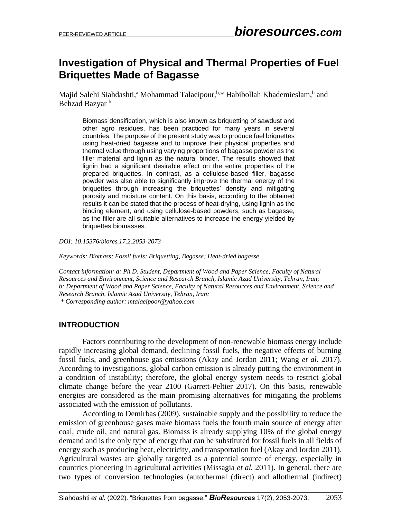# **Investigation of Physical and Thermal Properties of Fuel Briquettes Made of Bagasse**

Majid Salehi Siahdashti,<sup>a</sup> Mohammad Talaeipour, b.\* Habibollah Khademieslam, b and Behzad Bazyar<sup>b</sup>

Biomass densification, which is also known as briquetting of sawdust and other agro residues, has been practiced for many years in several countries. The purpose of the present study was to produce fuel briquettes using heat-dried bagasse and to improve their physical properties and thermal value through using varying proportions of bagasse powder as the filler material and lignin as the natural binder. The results showed that lignin had a significant desirable effect on the entire properties of the prepared briquettes. In contrast, as a cellulose-based filler, bagasse powder was also able to significantly improve the thermal energy of the briquettes through increasing the briquettes' density and mitigating porosity and moisture content. On this basis, according to the obtained results it can be stated that the process of heat-drying, using lignin as the binding element, and using cellulose-based powders, such as bagasse, as the filler are all suitable alternatives to increase the energy yielded by briquettes biomasses.

*DOI: 10.15376/biores.17.2.2053-2073*

*Keywords: Biomass; Fossil fuels; Briquetting, Bagasse; Heat-dried bagasse*

*Contact information: a: Ph.D. Student, Department of Wood and Paper Science, Faculty of Natural Resources and Environment, Science and Research Branch, Islamic Azad University, Tehran, Iran; b: Department of Wood and Paper Science, Faculty of Natural Resources and Environment, Science and Research Branch, Islamic Azad University, Tehran, Iran; \* Corresponding author: mtalaeipoor@yahoo.com*

#### **INTRODUCTION**

Factors contributing to the development of non-renewable biomass energy include rapidly increasing global demand, declining fossil fuels, the negative effects of burning fossil fuels, and greenhouse gas emissions (Akay and Jordan 2011; Wang *et al.* 2017). According to investigations, global carbon emission is already putting the environment in a condition of instability; therefore, the global energy system needs to restrict global climate change before the year 2100 (Garrett-Peltier 2017). On this basis, renewable energies are considered as the main promising alternatives for mitigating the problems associated with the emission of pollutants.

According to Demirbas (2009), sustainable supply and the possibility to reduce the emission of greenhouse gases make biomass fuels the fourth main source of energy after coal, crude oil, and natural gas. Biomass is already supplying 10% of the global energy demand and is the only type of energy that can be substituted for fossil fuels in all fields of energy such as producing heat, electricity, and transportation fuel (Akay and Jordan 2011). Agricultural wastes are globally targeted as a potential source of energy, especially in countries pioneering in agricultural activities (Missagia *et al.* 2011). In general, there are two types of conversion technologies (autothermal (direct) and allothermal (indirect)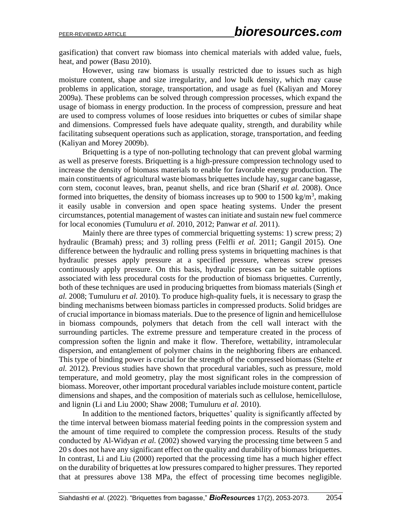gasification) that convert raw biomass into chemical materials with added value, fuels, heat, and power (Basu 2010).

However, using raw biomass is usually restricted due to issues such as high moisture content, shape and size irregularity, and low bulk density, which may cause problems in application, storage, transportation, and usage as fuel (Kaliyan and Morey 2009a). These problems can be solved through compression processes, which expand the usage of biomass in energy production. In the process of compression, pressure and heat are used to compress volumes of loose residues into briquettes or cubes of similar shape and dimensions. Compressed fuels have adequate quality, strength, and durability while facilitating subsequent operations such as application, storage, transportation, and feeding (Kaliyan and Morey 2009b).

Briquetting is a type of non-polluting technology that can prevent global warming as well as preserve forests. Briquetting is a high-pressure compression technology used to increase the density of biomass materials to enable for favorable energy production. The main constituents of agricultural waste biomass briquettes include hay, sugar cane bagasse, corn stem, coconut leaves, bran, peanut shells, and rice bran (Sharif *et al.* 2008). Once formed into briquettes, the density of biomass increases up to 900 to 1500 kg/m<sup>3</sup>, making it easily usable in conversion and open space heating systems. Under the present circumstances, potential management of wastes can initiate and sustain new fuel commerce for local economies (Tumuluru *et al.* 2010, 2012; Panwar *et al.* 2011).

Mainly there are three types of commercial briquetting systems: 1) screw press; 2) hydraulic (Bramah) press; and 3) rolling press (Felfli *et al.* 2011; Gangil 2015). One difference between the hydraulic and rolling press systems in briquetting machines is that hydraulic presses apply pressure at a specified pressure, whereas screw presses continuously apply pressure. On this basis, hydraulic presses can be suitable options associated with less procedural costs for the production of biomass briquettes. Currently, both of these techniques are used in producing briquettes from biomass materials (Singh *et al.* 2008; Tumuluru *et al.* 2010). To produce high-quality fuels, it is necessary to grasp the binding mechanisms between biomass particles in compressed products. Solid bridges are of crucial importance in biomass materials. Due to the presence of lignin and hemicellulose in biomass compounds, polymers that detach from the cell wall interact with the surrounding particles. The extreme pressure and temperature created in the process of compression soften the lignin and make it flow. Therefore, wettability, intramolecular dispersion, and entanglement of polymer chains in the neighboring fibers are enhanced. This type of binding power is crucial for the strength of the compressed biomass (Stelte *et al.* 2012). Previous studies have shown that procedural variables, such as pressure, mold temperature, and mold geometry, play the most significant roles in the compression of biomass. Moreover, other important procedural variables include moisture content, particle dimensions and shapes, and the composition of materials such as cellulose, hemicellulose, and lignin (Li and Liu 2000; Shaw 2008; Tumuluru *et al.* 2010).

In addition to the mentioned factors, briquettes' quality is significantly affected by the time interval between biomass material feeding points in the compression system and the amount of time required to complete the compression process. Results of the study conducted by Al-Widyan *et al.* (2002) showed varying the processing time between 5 and 20 s does not have any significant effect on the quality and durability of biomass briquettes. In contrast, Li and Liu (2000) reported that the processing time has a much higher effect on the durability of briquettes at low pressures compared to higher pressures. They reported that at pressures above 138 MPa, the effect of processing time becomes negligible.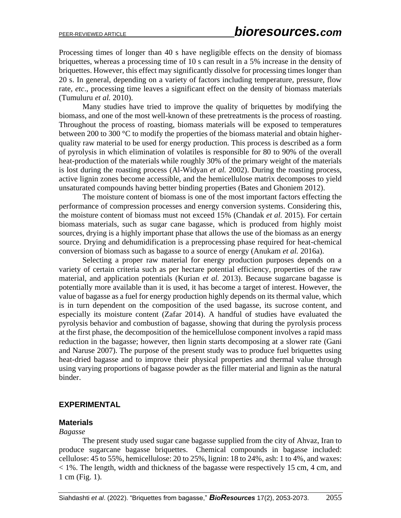Processing times of longer than 40 s have negligible effects on the density of biomass briquettes, whereas a processing time of 10 s can result in a 5% increase in the density of briquettes. However, this effect may significantly dissolve for processing times longer than 20 s. In general, depending on a variety of factors including temperature, pressure, flow rate, *etc*., processing time leaves a significant effect on the density of biomass materials (Tumuluru *et al.* 2010).

Many studies have tried to improve the quality of briquettes by modifying the biomass, and one of the most well-known of these pretreatments is the process of roasting. Throughout the process of roasting, biomass materials will be exposed to temperatures between 200 to 300 °C to modify the properties of the biomass material and obtain higherquality raw material to be used for energy production. This process is described as a form of pyrolysis in which elimination of volatiles is responsible for 80 to 90% of the overall heat-production of the materials while roughly 30% of the primary weight of the materials is lost during the roasting process (Al-Widyan *et al.* 2002). During the roasting process, active lignin zones become accessible, and the hemicellulose matrix decomposes to yield unsaturated compounds having better binding properties (Bates and Ghoniem 2012).

The moisture content of biomass is one of the most important factors effecting the performance of compression processes and energy conversion systems. Considering this, the moisture content of biomass must not exceed 15% (Chandak *et al.* 2015). For certain biomass materials, such as sugar cane bagasse, which is produced from highly moist sources, drying is a highly important phase that allows the use of the biomass as an energy source. Drying and dehumidification is a preprocessing phase required for heat-chemical conversion of biomass such as bagasse to a source of energy (Anukam *et al.* 2016a).

Selecting a proper raw material for energy production purposes depends on a variety of certain criteria such as per hectare potential efficiency, properties of the raw material, and application potentials (Kurian *et al.* 2013). Because sugarcane bagasse is potentially more available than it is used, it has become a target of interest. However, the value of bagasse as a fuel for energy production highly depends on its thermal value, which is in turn dependent on the composition of the used bagasse, its sucrose content, and especially its moisture content (Zafar 2014). A handful of studies have evaluated the pyrolysis behavior and combustion of bagasse, showing that during the pyrolysis process at the first phase, the decomposition of the hemicellulose component involves a rapid mass reduction in the bagasse; however, then lignin starts decomposing at a slower rate (Gani and Naruse 2007). The purpose of the present study was to produce fuel briquettes using heat-dried bagasse and to improve their physical properties and thermal value through using varying proportions of bagasse powder as the filler material and lignin as the natural binder.

### **EXPERIMENTAL**

#### **Materials**

#### *Bagasse*

The present study used sugar cane bagasse supplied from the city of Ahvaz, Iran to produce sugarcane bagasse briquettes. Chemical compounds in bagasse included: cellulose: 45 to 55%, hemicellulose: 20 to 25%, lignin: 18 to 24%, ash: 1 to 4%, and waxes: < 1%. The length, width and thickness of the bagasse were respectively 15 cm, 4 cm, and 1 cm (Fig. 1).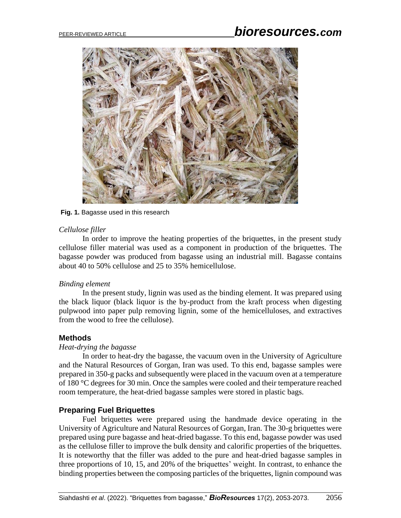

#### **Fig. 1.** Bagasse used in this research

#### *Cellulose filler*

In order to improve the heating properties of the briquettes, in the present study cellulose filler material was used as a component in production of the briquettes. The bagasse powder was produced from bagasse using an industrial mill. Bagasse contains about 40 to 50% cellulose and 25 to 35% hemicellulose.

#### *Binding element*

In the present study, lignin was used as the binding element. It was prepared using the black liquor (black liquor is the by-product from the kraft process when digesting pulpwood into paper pulp removing lignin, some of the hemicelluloses, and extractives from the wood to free the cellulose).

#### **Methods**

#### *Heat-drying the bagasse*

In order to heat-dry the bagasse, the vacuum oven in the University of Agriculture and the Natural Resources of Gorgan, Iran was used. To this end, bagasse samples were prepared in 350-g packs and subsequently were placed in the vacuum oven at a temperature of 180 °C degrees for 30 min. Once the samples were cooled and their temperature reached room temperature, the heat-dried bagasse samples were stored in plastic bags.

#### **Preparing Fuel Briquettes**

Fuel briquettes were prepared using the handmade device operating in the University of Agriculture and Natural Resources of Gorgan, Iran. The 30-g briquettes were prepared using pure bagasse and heat-dried bagasse. To this end, bagasse powder was used as the cellulose filler to improve the bulk density and calorific properties of the briquettes. It is noteworthy that the filler was added to the pure and heat-dried bagasse samples in three proportions of 10, 15, and 20% of the briquettes' weight. In contrast, to enhance the binding properties between the composing particles of the briquettes, lignin compound was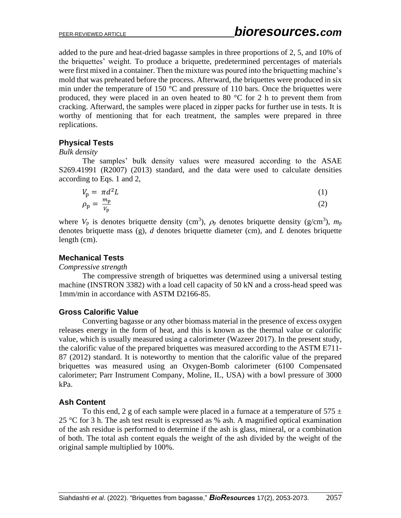added to the pure and heat-dried bagasse samples in three proportions of 2, 5, and 10% of the briquettes' weight. To produce a briquette, predetermined percentages of materials were first mixed in a container. Then the mixture was poured into the briquetting machine's mold that was preheated before the process. Afterward, the briquettes were produced in six min under the temperature of 150  $\degree$ C and pressure of 110 bars. Once the briquettes were produced, they were placed in an oven heated to 80  $^{\circ}$ C for 2 h to prevent them from cracking. Afterward, the samples were placed in zipper packs for further use in tests. It is worthy of mentioning that for each treatment, the samples were prepared in three replications.

# **Physical Tests**

#### *Bulk density*

The samples' bulk density values were measured according to the ASAE S269.41991 (R2007) (2013) standard, and the data were used to calculate densities according to Eqs. 1 and 2,

$$
V_p = \pi d^2 L
$$
  
\n
$$
\rho_p = \frac{m_p}{v_p}
$$
\n(1)

where  $V_p$  is denotes briquette density (cm<sup>3</sup>),  $\rho_p$  denotes briquette density (g/cm<sup>3</sup>),  $m_p$ denotes briquette mass (g), *d* denotes briquette diameter (cm), and *L* denotes briquette length (cm).

### **Mechanical Tests**

### *Compressive strength*

The compressive strength of briquettes was determined using a universal testing machine (INSTRON 3382) with a load cell capacity of 50 kN and a cross-head speed was 1mm/min in accordance with ASTM D2166-85.

# **Gross Calorific Value**

Converting bagasse or any other biomass material in the presence of excess oxygen releases energy in the form of heat, and this is known as the thermal value or calorific value, which is usually measured using a calorimeter (Wazeer 2017). In the present study, the calorific value of the prepared briquettes was measured according to the ASTM E711- 87 (2012) standard. It is noteworthy to mention that the calorific value of the prepared briquettes was measured using an Oxygen-Bomb calorimeter (6100 Compensated calorimeter; Parr Instrument Company, Moline, IL, USA) with a bowl pressure of 3000 kPa.

### **Ash Content**

To this end, 2 g of each sample were placed in a furnace at a temperature of 575  $\pm$ 25 °C for 3 h. The ash test result is expressed as % ash. A magnified optical examination of the ash residue is performed to determine if the ash is glass, mineral, or a combination of both. The total ash content equals the weight of the ash divided by the weight of the original sample multiplied by 100%.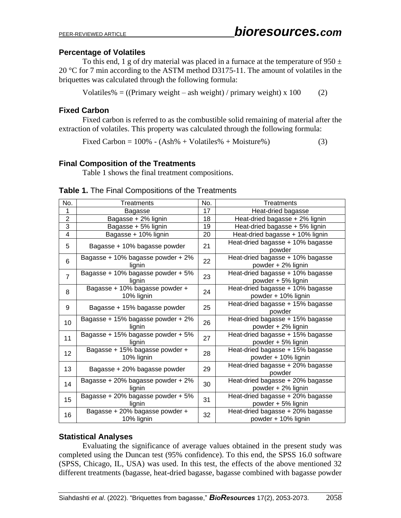#### **Percentage of Volatiles**

To this end, 1 g of dry material was placed in a furnace at the temperature of  $950 \pm$ 20 °C for 7 min according to the ASTM method D3175-11. The amount of volatiles in the briquettes was calculated through the following formula:

Volatiles% =  $((\text{Primary weight} - \text{ash weight}) / \text{primary weight}) \times 100$  (2)

#### **Fixed Carbon**

Fixed carbon is referred to as the combustible solid remaining of material after the extraction of volatiles. This property was calculated through the following formula:

Fixed Carbon =  $100\%$  - (Ash% + Volatiles% + Moisture%) (3)

#### **Final Composition of the Treatments**

Table 1 shows the final treatment compositions.

| No.            | Treatments                                   | No. | Treatments                                              |
|----------------|----------------------------------------------|-----|---------------------------------------------------------|
| 1              | Bagasse                                      | 17  | Heat-dried bagasse                                      |
| $\overline{2}$ | Bagasse + 2% lignin                          | 18  | Heat-dried bagasse + 2% lignin                          |
| 3              | Bagasse + 5% lignin                          | 19  | Heat-dried bagasse + 5% lignin                          |
| 4              | Bagasse + 10% lignin                         | 20  | Heat-dried bagasse + 10% lignin                         |
| 5              | Bagasse + 10% bagasse powder                 | 21  | Heat-dried bagasse + 10% bagasse<br>powder              |
| 6              | Bagasse + 10% bagasse powder + 2%<br>lignin  | 22  | Heat-dried bagasse + 10% bagasse<br>powder + 2% lignin  |
| $\overline{7}$ | Bagasse + 10% bagasse powder + 5%<br>lignin  | 23  | Heat-dried bagasse + 10% bagasse<br>powder + 5% lignin  |
| 8              | Bagasse + 10% bagasse powder +<br>10% lignin | 24  | Heat-dried bagasse + 10% bagasse<br>powder + 10% lignin |
| 9              | Bagasse + 15% bagasse powder                 | 25  | Heat-dried bagasse + 15% bagasse<br>powder              |
| 10             | Bagasse + 15% bagasse powder + 2%<br>lignin  | 26  | Heat-dried bagasse + 15% bagasse<br>powder + 2% lignin  |
| 11             | Bagasse + 15% bagasse powder + 5%<br>lianin  | 27  | Heat-dried bagasse + 15% bagasse<br>powder + 5% lignin  |
| 12             | Bagasse + 15% bagasse powder +<br>10% lignin | 28  | Heat-dried bagasse + 15% bagasse<br>powder + 10% lignin |
| 13             | Bagasse + 20% bagasse powder                 | 29  | Heat-dried bagasse + 20% bagasse<br>powder              |
| 14             | Bagasse + 20% bagasse powder + 2%<br>lignin  | 30  | Heat-dried bagasse + 20% bagasse<br>powder + 2% lignin  |
| 15             | Bagasse + 20% bagasse powder + 5%<br>lignin  | 31  | Heat-dried bagasse + 20% bagasse<br>powder + 5% lignin  |
| 16             | Bagasse + 20% bagasse powder +<br>10% lignin | 32  | Heat-dried bagasse + 20% bagasse<br>powder + 10% lignin |

#### **Table 1.** The Final Compositions of the Treatments

### **Statistical Analyses**

Evaluating the significance of average values obtained in the present study was completed using the Duncan test (95% confidence). To this end, the SPSS 16.0 software (SPSS, Chicago, IL, USA) was used. In this test, the effects of the above mentioned 32 different treatments (bagasse, heat-dried bagasse, bagasse combined with bagasse powder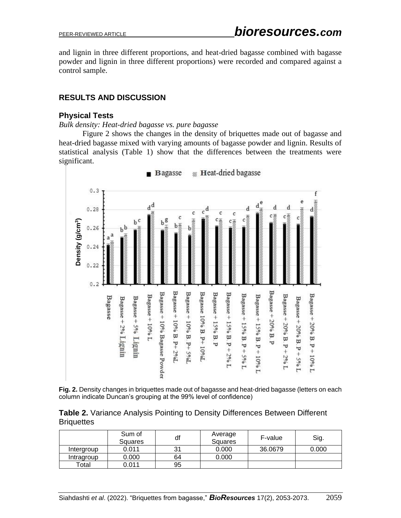and lignin in three different proportions, and heat-dried bagasse combined with bagasse powder and lignin in three different proportions) were recorded and compared against a control sample.

# **RESULTS AND DISCUSSION**

### **Physical Tests**

*Bulk density: Heat-dried bagasse vs. pure bagasse*

Figure 2 shows the changes in the density of briquettes made out of bagasse and heat-dried bagasse mixed with varying amounts of bagasse powder and lignin. Results of statistical analysis (Table 1) show that the differences between the treatments were significant.



**Heat-dried bagasse Bagasse** 

**Fig. 2.** Density changes in briquettes made out of bagasse and heat-dried bagasse (letters on each column indicate Duncan's grouping at the 99% level of confidence)

**Table 2.** Variance Analysis Pointing to Density Differences Between Different **Briquettes** 

|            | Sum of<br>Squares | df | Average<br><b>Squares</b> | F-value | Sig.  |
|------------|-------------------|----|---------------------------|---------|-------|
| Intergroup | 0.011             | 31 | 0.000                     | 36,0679 | 0.000 |
| Intragroup | 0.000             | 64 | 0.000                     |         |       |
| Total      | 0.011             | 95 |                           |         |       |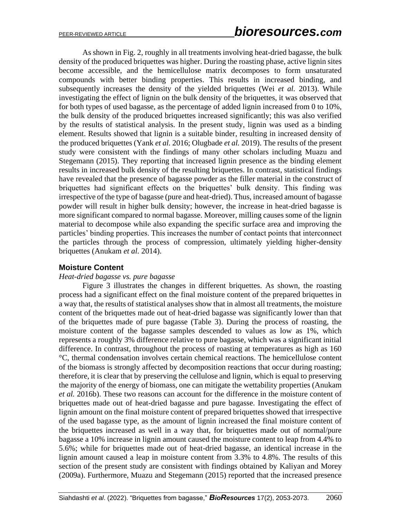As shown in Fig. 2, roughly in all treatments involving heat-dried bagasse, the bulk density of the produced briquettes was higher. During the roasting phase, active lignin sites become accessible, and the hemicellulose matrix decomposes to form unsaturated compounds with better binding properties. This results in increased binding, and subsequently increases the density of the yielded briquettes (Wei *et al.* 2013). While investigating the effect of lignin on the bulk density of the briquettes, it was observed that for both types of used bagasse, as the percentage of added lignin increased from 0 to 10%, the bulk density of the produced briquettes increased significantly; this was also verified by the results of statistical analysis. In the present study, lignin was used as a binding element. Results showed that lignin is a suitable binder, resulting in increased density of the produced briquettes (Yank *et al.* 2016; Olugbade *et al.* 2019). The results of the present study were consistent with the findings of many other scholars including Muazu and Stegemann (2015). They reporting that increased lignin presence as the binding element results in increased bulk density of the resulting briquettes. In contrast, statistical findings have revealed that the presence of bagasse powder as the filler material in the construct of briquettes had significant effects on the briquettes' bulk density. This finding was irrespective of the type of bagasse (pure and heat-dried). Thus, increased amount of bagasse powder will result in higher bulk density; however, the increase in heat-dried bagasse is more significant compared to normal bagasse. Moreover, milling causes some of the lignin material to decompose while also expanding the specific surface area and improving the particles' binding properties. This increases the number of contact points that interconnect the particles through the process of compression, ultimately yielding higher-density briquettes (Anukam *et al.* 2014).

# **Moisture Content**

#### *Heat-dried bagasse vs. pure bagasse*

Figure 3 illustrates the changes in different briquettes. As shown, the roasting process had a significant effect on the final moisture content of the prepared briquettes in a way that, the results of statistical analyses show that in almost all treatments, the moisture content of the briquettes made out of heat-dried bagasse was significantly lower than that of the briquettes made of pure bagasse (Table 3). During the process of roasting, the moisture content of the bagasse samples descended to values as low as 1%, which represents a roughly 3% difference relative to pure bagasse, which was a significant initial difference. In contrast, throughout the process of roasting at temperatures as high as 160 °C, thermal condensation involves certain chemical reactions. The hemicellulose content of the biomass is strongly affected by decomposition reactions that occur during roasting; therefore, it is clear that by preserving the cellulose and lignin, which is equal to preserving the majority of the energy of biomass, one can mitigate the wettability properties (Anukam *et al.* 2016b). These two reasons can account for the difference in the moisture content of briquettes made out of heat-dried bagasse and pure bagasse. Investigating the effect of lignin amount on the final moisture content of prepared briquettes showed that irrespective of the used bagasse type, as the amount of lignin increased the final moisture content of the briquettes increased as well in a way that, for briquettes made out of normal/pure bagasse a 10% increase in lignin amount caused the moisture content to leap from 4.4% to 5.6%; while for briquettes made out of heat-dried bagasse, an identical increase in the lignin amount caused a leap in moisture content from 3.3% to 4.8%. The results of this section of the present study are consistent with findings obtained by Kaliyan and Morey (2009a). Furthermore, Muazu and Stegemann (2015) reported that the increased presence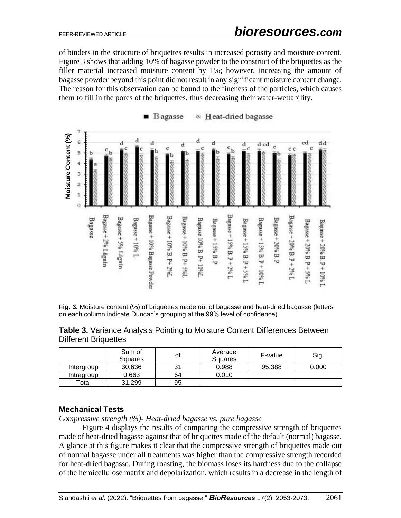of binders in the structure of briquettes results in increased porosity and moisture content. Figure 3 shows that adding 10% of bagasse powder to the construct of the briquettes as the filler material increased moisture content by 1%; however, increasing the amount of bagasse powder beyond this point did not result in any significant moisture content change. The reason for this observation can be bound to the fineness of the particles, which causes them to fill in the pores of the briquettes, thus decreasing their water-wettability.



**Fig. 3.** Moisture content (%) of briquettes made out of bagasse and heat-dried bagasse (letters on each column indicate Duncan's grouping at the 99% level of confidence)

|                             | <b>Table 3.</b> Variance Analysis Pointing to Moisture Content Differences Between |  |  |  |
|-----------------------------|------------------------------------------------------------------------------------|--|--|--|
| <b>Different Briquettes</b> |                                                                                    |  |  |  |

|                  | Sum of<br><b>Squares</b> | df | Average<br><b>Squares</b> | F-value | Sig.  |
|------------------|--------------------------|----|---------------------------|---------|-------|
| Intergroup       | 30.636                   | 31 | 0.988                     | 95.388  | 0.000 |
| Intragroup       | 0.663                    | 64 | 0.010                     |         |       |
| $\mathsf{Total}$ | 31.299                   | 95 |                           |         |       |

### **Mechanical Tests**

*Compressive strength (%)- Heat-dried bagasse vs. pure bagasse*

Figure 4 displays the results of comparing the compressive strength of briquettes made of heat-dried bagasse against that of briquettes made of the default (normal) bagasse. A glance at this figure makes it clear that the compressive strength of briquettes made out of normal bagasse under all treatments was higher than the compressive strength recorded for heat-dried bagasse. During roasting, the biomass loses its hardness due to the collapse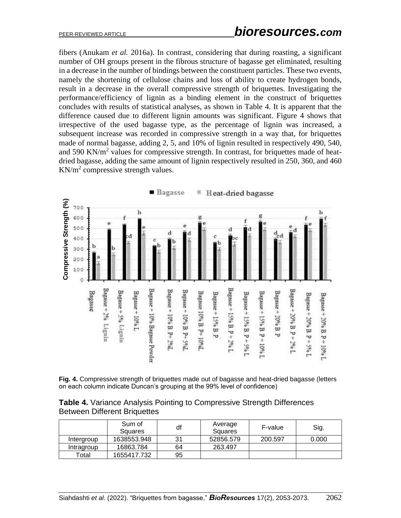fibers (Anukam *et al.* 2016a). In contrast, considering that during roasting, a significant number of OH groups present in the fibrous structure of bagasse get eliminated, resulting in a decrease in the number of bindings between the constituent particles. These two events, namely the shortening of cellulose chains and loss of ability to create hydrogen bonds, result in a decrease in the overall compressive strength of briquettes. Investigating the performance/efficiency of lignin as a binding element in the construct of briquettes concludes with results of statistical analyses, as shown in Table 4. It is apparent that the difference caused due to different lignin amounts was significant. Figure 4 shows that irrespective of the used bagasse type, as the percentage of lignin was increased, a subsequent increase was recorded in compressive strength in a way that, for briquettes made of normal bagasse, adding 2, 5, and 10% of lignin resulted in respectively 490, 540, and 590 KN/m<sup>2</sup> values for compressive strength. In contrast, for briquettes made of heatdried bagasse, adding the same amount of lignin respectively resulted in 250, 360, and 460  $KN/m<sup>2</sup>$  compressive strength values.



**Fig. 4.** Compressive strength of briquettes made out of bagasse and heat-dried bagasse (letters on each column indicate Duncan's grouping at the 99% level of confidence)

|                                     |  |  | <b>Table 4.</b> Variance Analysis Pointing to Compressive Strength Differences |
|-------------------------------------|--|--|--------------------------------------------------------------------------------|
| <b>Between Different Briquettes</b> |  |  |                                                                                |

|            | Sum of<br>Squares | df | Average<br>Squares | F-value | Sig.  |
|------------|-------------------|----|--------------------|---------|-------|
| Intergroup | 1638553.948       | 31 | 52856.579          | 200.597 | 0.000 |
| Intragroup | 16863.784         | 64 | 263.497            |         |       |
| Total      | 1655417.732       | 95 |                    |         |       |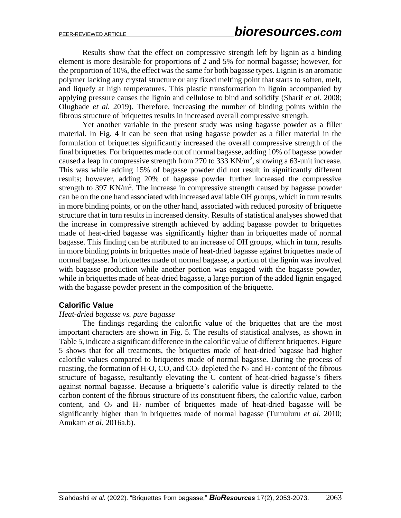Results show that the effect on compressive strength left by lignin as a binding element is more desirable for proportions of 2 and 5% for normal bagasse; however, for the proportion of 10%, the effect was the same for both bagasse types. Lignin is an aromatic polymer lacking any crystal structure or any fixed melting point that starts to soften, melt, and liquefy at high temperatures. This plastic transformation in lignin accompanied by applying pressure causes the lignin and cellulose to bind and solidify (Sharif *et al.* 2008; Olugbade *et al.* 2019). Therefore, increasing the number of binding points within the fibrous structure of briquettes results in increased overall compressive strength.

Yet another variable in the present study was using bagasse powder as a filler material. In Fig. 4 it can be seen that using bagasse powder as a filler material in the formulation of briquettes significantly increased the overall compressive strength of the final briquettes. For briquettes made out of normal bagasse, adding 10% of bagasse powder caused a leap in compressive strength from 270 to 333 KN/m<sup>2</sup>, showing a 63-unit increase. This was while adding 15% of bagasse powder did not result in significantly different results; however, adding 20% of bagasse powder further increased the compressive strength to 397 KN/ $m^2$ . The increase in compressive strength caused by bagasse powder can be on the one hand associated with increased available OH groups, which in turn results in more binding points, or on the other hand, associated with reduced porosity of briquette structure that in turn results in increased density. Results of statistical analyses showed that the increase in compressive strength achieved by adding bagasse powder to briquettes made of heat-dried bagasse was significantly higher than in briquettes made of normal bagasse. This finding can be attributed to an increase of OH groups, which in turn, results in more binding points in briquettes made of heat-dried bagasse against briquettes made of normal bagasse. In briquettes made of normal bagasse, a portion of the lignin was involved with bagasse production while another portion was engaged with the bagasse powder, while in briquettes made of heat-dried bagasse, a large portion of the added lignin engaged with the bagasse powder present in the composition of the briquette.

### **Calorific Value**

#### *Heat-dried bagasse vs. pure bagasse*

The findings regarding the calorific value of the briquettes that are the most important characters are shown in Fig. 5. The results of statistical analyses, as shown in Table 5, indicate a significant difference in the calorific value of different briquettes. Figure 5 shows that for all treatments, the briquettes made of heat-dried bagasse had higher calorific values compared to briquettes made of normal bagasse. During the process of roasting, the formation of H<sub>2</sub>O, CO, and CO<sub>2</sub> depleted the N<sub>2</sub> and H<sub>2</sub> content of the fibrous structure of bagasse, resultantly elevating the C content of heat-dried bagasse's fibers against normal bagasse. Because a briquette's calorific value is directly related to the carbon content of the fibrous structure of its constituent fibers, the calorific value, carbon content, and  $O_2$  and  $H_2$  number of briquettes made of heat-dried bagasse will be significantly higher than in briquettes made of normal bagasse (Tumuluru *et al.* 2010; Anukam *et al.* 2016a,b).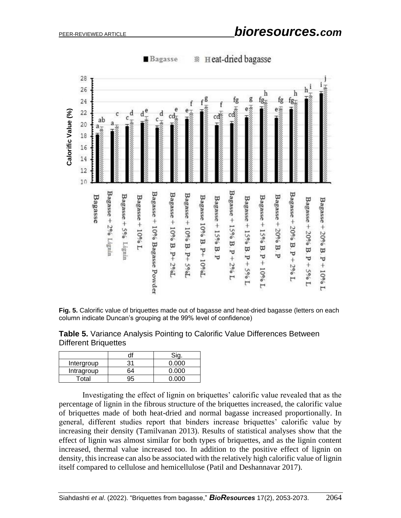

**W** Heat-dried bagasse Bagasse

**Table 5.** Variance Analysis Pointing to Calorific Value Differences Between Different Briquettes

**Fig. 5.** Calorific value of briquettes made out of bagasse and heat-dried bagasse (letters on each

|            | d١ |       |
|------------|----|-------|
| Intergroup | 31 | ი იიი |
| Intragroup | ۹4 | 0.000 |
| Total      | לנ | n nnn |

column indicate Duncan's grouping at the 99% level of confidence)

Investigating the effect of lignin on briquettes' calorific value revealed that as the percentage of lignin in the fibrous structure of the briquettes increased, the calorific value of briquettes made of both heat-dried and normal bagasse increased proportionally. In general, different studies report that binders increase briquettes' calorific value by increasing their density (Tamilvanan 2013). Results of statistical analyses show that the effect of lignin was almost similar for both types of briquettes, and as the lignin content increased, thermal value increased too. In addition to the positive effect of lignin on density, this increase can also be associated with the relatively high calorific value of lignin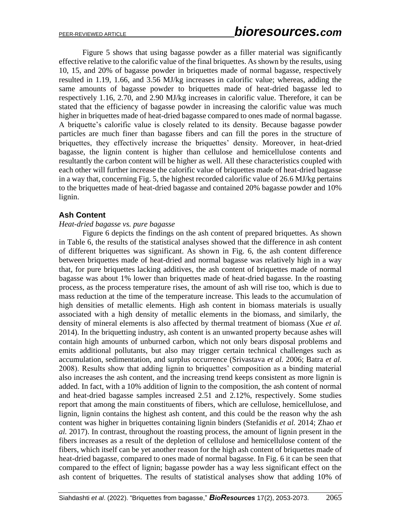Figure 5 shows that using bagasse powder as a filler material was significantly effective relative to the calorific value of the final briquettes. As shown by the results, using 10, 15, and 20% of bagasse powder in briquettes made of normal bagasse, respectively resulted in 1.19, 1.66, and 3.56 MJ/kg increases in calorific value; whereas, adding the same amounts of bagasse powder to briquettes made of heat-dried bagasse led to respectively 1.16, 2.70, and 2.90 MJ/kg increases in calorific value. Therefore, it can be stated that the efficiency of bagasse powder in increasing the calorific value was much higher in briquettes made of heat-dried bagasse compared to ones made of normal bagasse. A briquette's calorific value is closely related to its density. Because bagasse powder particles are much finer than bagasse fibers and can fill the pores in the structure of briquettes, they effectively increase the briquettes' density. Moreover, in heat-dried bagasse, the lignin content is higher than cellulose and hemicellulose contents and resultantly the carbon content will be higher as well. All these characteristics coupled with each other will further increase the calorific value of briquettes made of heat-dried bagasse in a way that, concerning Fig. 5, the highest recorded calorific value of 26.6 MJ/kg pertains to the briquettes made of heat-dried bagasse and contained 20% bagasse powder and 10% lignin.

### **Ash Content**

#### *Heat-dried bagasse vs. pure bagasse*

Figure 6 depicts the findings on the ash content of prepared briquettes. As shown in Table 6, the results of the statistical analyses showed that the difference in ash content of different briquettes was significant. As shown in Fig. 6, the ash content difference between briquettes made of heat-dried and normal bagasse was relatively high in a way that, for pure briquettes lacking additives, the ash content of briquettes made of normal bagasse was about 1% lower than briquettes made of heat-dried bagasse. In the roasting process, as the process temperature rises, the amount of ash will rise too, which is due to mass reduction at the time of the temperature increase. This leads to the accumulation of high densities of metallic elements. High ash content in biomass materials is usually associated with a high density of metallic elements in the biomass, and similarly, the density of mineral elements is also affected by thermal treatment of biomass (Xue *et al.*  2014). In the briquetting industry, ash content is an unwanted property because ashes will contain high amounts of unburned carbon, which not only bears disposal problems and emits additional pollutants, but also may trigger certain technical challenges such as accumulation, sedimentation, and surplus occurrence (Srivastava *et al.* 2006; Batra *et al.*  2008). Results show that adding lignin to briquettes' composition as a binding material also increases the ash content, and the increasing trend keeps consistent as more lignin is added. In fact, with a 10% addition of lignin to the composition, the ash content of normal and heat-dried bagasse samples increased 2.51 and 2.12%, respectively. Some studies report that among the main constituents of fibers, which are cellulose, hemicellulose, and lignin, lignin contains the highest ash content, and this could be the reason why the ash content was higher in briquettes containing lignin binders (Stefanidis *et al.* 2014; Zhao *et al.* 2017). In contrast, throughout the roasting process, the amount of lignin present in the fibers increases as a result of the depletion of cellulose and hemicellulose content of the fibers, which itself can be yet another reason for the high ash content of briquettes made of heat-dried bagasse, compared to ones made of normal bagasse. In Fig. 6 it can be seen that compared to the effect of lignin; bagasse powder has a way less significant effect on the ash content of briquettes. The results of statistical analyses show that adding 10% of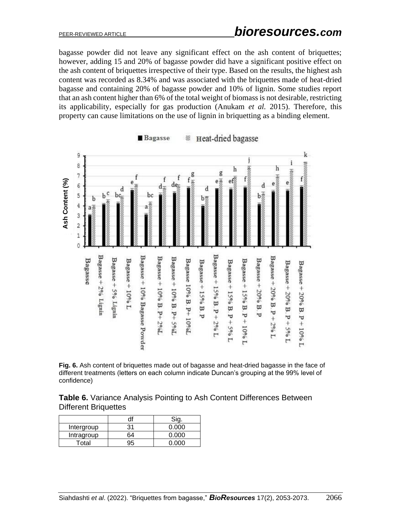bagasse powder did not leave any significant effect on the ash content of briquettes; however, adding 15 and 20% of bagasse powder did have a significant positive effect on the ash content of briquettes irrespective of their type. Based on the results, the highest ash content was recorded as 8.34% and was associated with the briquettes made of heat-dried bagasse and containing 20% of bagasse powder and 10% of lignin. Some studies report that an ash content higher than 6% of the total weight of biomass is not desirable, restricting its applicability, especially for gas production (Anukam *et al.* 2015). Therefore, this property can cause limitations on the use of lignin in briquetting as a binding element.



**Example 3** Heat-dried bagasse **Bagasse** 

**Fig. 6.** Ash content of briquettes made out of bagasse and heat-dried bagasse in the face of different treatments (letters on each column indicate Duncan's grouping at the 99% level of confidence)

|                             | Table 6. Variance Analysis Pointing to Ash Content Differences Between |  |  |
|-----------------------------|------------------------------------------------------------------------|--|--|
| <b>Different Briquettes</b> |                                                                        |  |  |

| Intergroup |    | റ റററ |
|------------|----|-------|
| Intragroup | ລ4 | റ റററ |
| Total      | ٠ŀ | n nnn |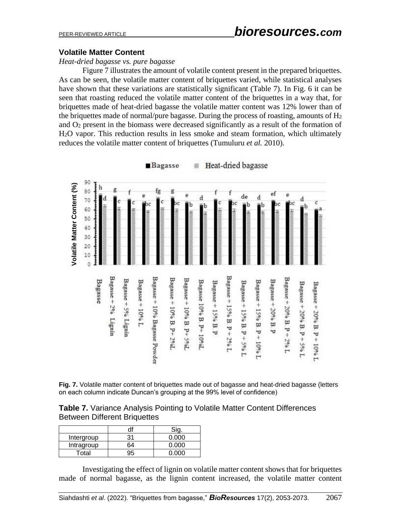#### **Volatile Matter Content**

*Heat-dried bagasse vs. pure bagasse*

Figure 7 illustrates the amount of volatile content present in the prepared briquettes. As can be seen, the volatile matter content of briquettes varied, while statistical analyses have shown that these variations are statistically significant (Table 7). In Fig. 6 it can be seen that roasting reduced the volatile matter content of the briquettes in a way that, for briquettes made of heat-dried bagasse the volatile matter content was 12% lower than of the briquettes made of normal/pure bagasse. During the process of roasting, amounts of  $H_2$ and O<sup>2</sup> present in the biomass were decreased significantly as a result of the formation of H2O vapor. This reduction results in less smoke and steam formation, which ultimately reduces the volatile matter content of briquettes (Tumuluru *et al.* 2010).



Heat-dried bagasse Bagasse 14.

**Fig. 7.** Volatile matter content of briquettes made out of bagasse and heat-dried bagasse (letters on each column indicate Duncan's grouping at the 99% level of confidence)

**Table 7.** Variance Analysis Pointing to Volatile Matter Content Differences Between Different Briquettes

| Intergroup |    | ስ ስስስ |
|------------|----|-------|
| Intragroup | ۲4 | ገ በበበ |
| Total      |    |       |

Investigating the effect of lignin on volatile matter content shows that for briquettes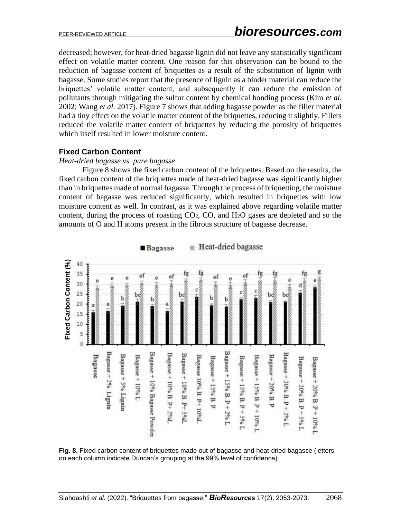decreased; however, for heat-dried bagasse lignin did not leave any statistically significant effect on volatile matter content. One reason for this observation can be bound to the reduction of bagasse content of briquettes as a result of the substitution of lignin with bagasse. Some studies report that the presence of lignin as a binder material can reduce the briquettes' volatile matter content, and subsequently it can reduce the emission of pollutants through mitigating the sulfur content by chemical bonding process (Kim *et al.*  2002; Wang *et al.* 2017). Figure 7 shows that adding bagasse powder as the filler material had a tiny effect on the volatile matter content of the briquettes, reducing it slightly. Fillers reduced the volatile matter content of briquettes by reducing the porosity of briquettes which itself resulted in lower moisture content.

#### **Fixed Carbon Content**

#### *Heat-dried bagasse vs. pure bagasse*

Figure 8 shows the fixed carbon content of the briquettes. Based on the results, the fixed carbon content of the briquettes made of heat-dried bagasse was significantly higher than in briquettes made of normal bagasse. Through the process of briquetting, the moisture content of bagasse was reduced significantly, which resulted in briquettes with low moisture content as well. In contrast, as it was explained above regarding volatile matter content, during the process of roasting  $CO<sub>2</sub>$ ,  $CO$ , and  $H<sub>2</sub>O$  gases are depleted and so the amounts of O and H atoms present in the fibrous structure of bagasse decrease.





**Fig. 8.** Fixed carbon content of briquettes made out of bagasse and heat-dried bagasse (letters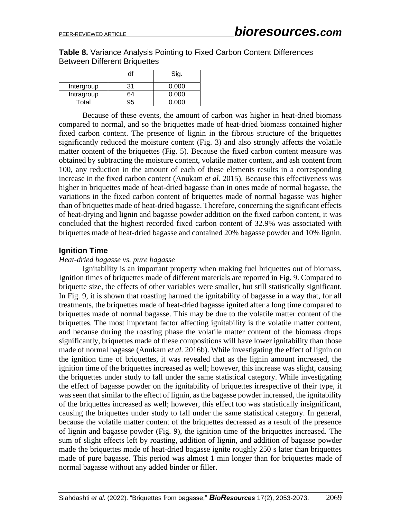**Table 8.** Variance Analysis Pointing to Fixed Carbon Content Differences Between Different Briquettes

|            |    | Sig.  |
|------------|----|-------|
| Intergroup | 31 | 0.000 |
| Intragroup | 64 | 0.000 |
| Total      |    | 0.000 |

Because of these events, the amount of carbon was higher in heat-dried biomass compared to normal, and so the briquettes made of heat-dried biomass contained higher fixed carbon content. The presence of lignin in the fibrous structure of the briquettes significantly reduced the moisture content (Fig. 3) and also strongly affects the volatile matter content of the briquettes (Fig. 5). Because the fixed carbon content measure was obtained by subtracting the moisture content, volatile matter content, and ash content from 100, any reduction in the amount of each of these elements results in a corresponding increase in the fixed carbon content (Anukam *et al.* 2015). Because this effectiveness was higher in briquettes made of heat-dried bagasse than in ones made of normal bagasse, the variations in the fixed carbon content of briquettes made of normal bagasse was higher than of briquettes made of heat-dried bagasse. Therefore, concerning the significant effects of heat-drying and lignin and bagasse powder addition on the fixed carbon content, it was concluded that the highest recorded fixed carbon content of 32.9% was associated with briquettes made of heat-dried bagasse and contained 20% bagasse powder and 10% lignin.

### **Ignition Time**

#### *Heat-dried bagasse vs. pure bagasse*

Ignitability is an important property when making fuel briquettes out of biomass. Ignition times of briquettes made of different materials are reported in Fig. 9. Compared to briquette size, the effects of other variables were smaller, but still statistically significant. In Fig. 9, it is shown that roasting harmed the ignitability of bagasse in a way that, for all treatments, the briquettes made of heat-dried bagasse ignited after a long time compared to briquettes made of normal bagasse. This may be due to the volatile matter content of the briquettes. The most important factor affecting ignitability is the volatile matter content, and because during the roasting phase the volatile matter content of the biomass drops significantly, briquettes made of these compositions will have lower ignitability than those made of normal bagasse (Anukam *et al.* 2016b). While investigating the effect of lignin on the ignition time of briquettes, it was revealed that as the lignin amount increased, the ignition time of the briquettes increased as well; however, this increase was slight, causing the briquettes under study to fall under the same statistical category. While investigating the effect of bagasse powder on the ignitability of briquettes irrespective of their type, it was seen that similar to the effect of lignin, as the bagasse powder increased, the ignitability of the briquettes increased as well; however, this effect too was statistically insignificant, causing the briquettes under study to fall under the same statistical category. In general, because the volatile matter content of the briquettes decreased as a result of the presence of lignin and bagasse powder (Fig. 9), the ignition time of the briquettes increased. The sum of slight effects left by roasting, addition of lignin, and addition of bagasse powder made the briquettes made of heat-dried bagasse ignite roughly 250 s later than briquettes made of pure bagasse. This period was almost 1 min longer than for briquettes made of normal bagasse without any added binder or filler.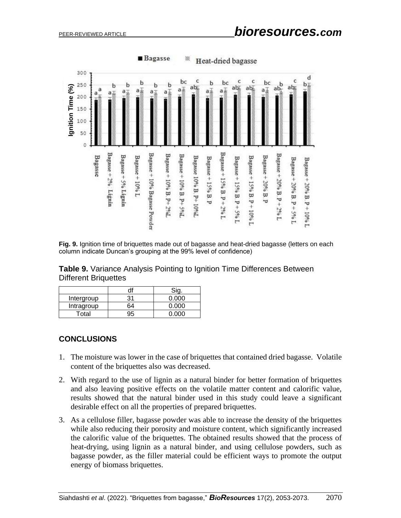

**Fig. 9.** Ignition time of briquettes made out of bagasse and heat-dried bagasse (letters on each column indicate Duncan's grouping at the 99% level of confidence)

|                      | <b>Table 9.</b> Variance Analysis Pointing to Ignition Time Differences Between |  |  |  |
|----------------------|---------------------------------------------------------------------------------|--|--|--|
| Different Briquettes |                                                                                 |  |  |  |

|            | dſ |       |
|------------|----|-------|
| Intergroup | 31 | 0.000 |
| Intragroup | 64 | 0.000 |
| Total      | 95 | n nnn |

# **CONCLUSIONS**

- 1. The moisture was lower in the case of briquettes that contained dried bagasse. Volatile content of the briquettes also was decreased.
- 2. With regard to the use of lignin as a natural binder for better formation of briquettes and also leaving positive effects on the volatile matter content and calorific value, results showed that the natural binder used in this study could leave a significant desirable effect on all the properties of prepared briquettes.
- 3. As a cellulose filler, bagasse powder was able to increase the density of the briquettes while also reducing their porosity and moisture content, which significantly increased the calorific value of the briquettes. The obtained results showed that the process of heat-drying, using lignin as a natural binder, and using cellulose powders, such as bagasse powder, as the filler material could be efficient ways to promote the output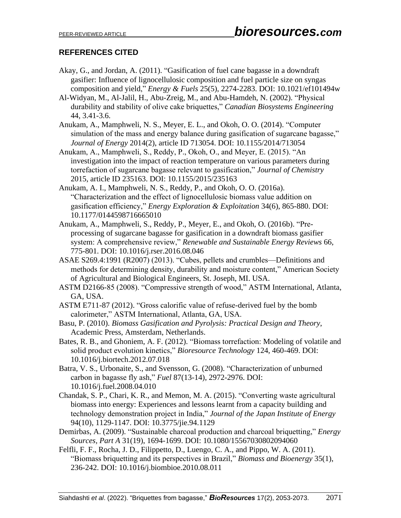# **REFERENCES CITED**

- Akay, G., and Jordan, A. (2011). "Gasification of fuel cane bagasse in a downdraft gasifier: Influence of lignocellulosic composition and fuel particle size on syngas composition and yield," *Energy & Fuels* 25(5), 2274-2283. DOI: 10.1021/ef101494w
- Al-Widyan, M., Al-Jalil, H., Abu-Zreig, M., and Abu-Hamdeh, N. (2002). "Physical durability and stability of olive cake briquettes," *Canadian Biosystems Engineering* 44, 3.41-3.6.
- Anukam, A., Mamphweli, N. S., Meyer, E. L., and Okoh, O. O. (2014). "Computer simulation of the mass and energy balance during gasification of sugarcane bagasse," *Journal of Energy* 2014(2), article ID 713054. DOI: 10.1155/2014/713054
- Anukam, A., Mamphweli, S., Reddy, P., Okoh, O., and Meyer, E. (2015). "An investigation into the impact of reaction temperature on various parameters during torrefaction of sugarcane bagasse relevant to gasification," *Journal of Chemistry* 2015, article ID 235163. DOI: 10.1155/2015/235163
- Anukam, A. I., Mamphweli, N. S., Reddy, P., and Okoh, O. O. (2016a). "Characterization and the effect of lignocellulosic biomass value addition on gasification efficiency," *Energy Exploration & Exploitation* 34(6), 865-880. DOI: 10.1177/0144598716665010
- Anukam, A., Mamphweli, S., Reddy, P., Meyer, E., and Okoh, O. (2016b). "Preprocessing of sugarcane bagasse for gasification in a downdraft biomass gasifier system: A comprehensive review," *Renewable and Sustainable Energy Reviews* 66, 775-801. DOI: 10.1016/j.rser.2016.08.046
- ASAE S269.4:1991 (R2007) (2013). "Cubes, pellets and crumbles—Definitions and methods for determining density, durability and moisture content," American Society of Agricultural and Biological Engineers, St. Joseph, MI. USA.
- ASTM D2166-85 (2008). "Compressive strength of wood," ASTM International, Atlanta, GA, USA.
- ASTM E711-87 (2012). "Gross calorific value of refuse-derived fuel by the bomb calorimeter," ASTM International, Atlanta, GA, USA.
- Basu, P. (2010). *Biomass Gasification and Pyrolysis: Practical Design and Theory*, Academic Press, Amsterdam, Netherlands.
- Bates, R. B., and Ghoniem, A. F. (2012). "Biomass torrefaction: Modeling of volatile and solid product evolution kinetics," *Bioresource Technology* 124, 460-469. DOI: 10.1016/j.biortech.2012.07.018
- Batra, V. S., Urbonaite, S., and Svensson, G. (2008). "Characterization of unburned carbon in bagasse fly ash," *Fuel* 87(13-14), 2972-2976. DOI: 10.1016/j.fuel.2008.04.010
- Chandak, S. P., Chari, K. R., and Memon, M. A. (2015). "Converting waste agricultural biomass into energy: Experiences and lessons learnt from a capacity building and technology demonstration project in India," *Journal of the Japan Institute of Energy* 94(10), 1129-1147. DOI: 10.3775/jie.94.1129
- Demirbas, A. (2009). "Sustainable charcoal production and charcoal briquetting," *Energy Sources, Part A* 31(19), 1694-1699. DOI: 10.1080/15567030802094060
- Felfli, F. F., Rocha, J. D., Filippetto, D., Luengo, C. A., and Pippo, W. A. (2011). "Biomass briquetting and its perspectives in Brazil," *Biomass and Bioenergy* 35(1), 236-242. DOI: 10.1016/j.biombioe.2010.08.011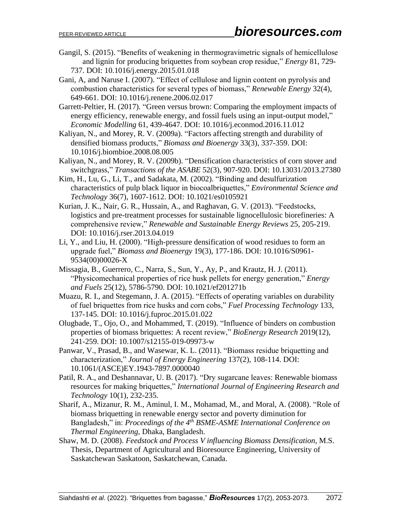- Gangil, S. (2015). "Benefits of weakening in thermogravimetric signals of hemicellulose and lignin for producing briquettes from soybean crop residue," *Energy* 81, 729- 737. DOI: 10.1016/j.energy.2015.01.018
- Gani, A, and Naruse I. (2007). "Effect of cellulose and lignin content on pyrolysis and combustion characteristics for several types of biomass," *Renewable Energy* 32(4), 649-661. DOI: 10.1016/j.renene.2006.02.017
- Garrett-Peltier, H. (2017). "Green versus brown: Comparing the employment impacts of energy efficiency, renewable energy, and fossil fuels using an input-output model," *Economic Modelling* 61, 439-4647. DOI: 10.1016/j.econmod.2016.11.012
- Kaliyan, N., and Morey, R. V. (2009a). "Factors affecting strength and durability of densified biomass products," *Biomass and Bioenergy* 33(3), 337-359. DOI: 10.1016/j.biombioe.2008.08.005
- Kaliyan, N., and Morey, R. V. (2009b). "Densification characteristics of corn stover and switchgrass," *Transactions of the ASABE* 52(3), 907-920. DOI: 10.13031/2013.27380
- Kim, H., Lu, G., Li, T., and Sadakata, M. (2002). "Binding and desulfurization characteristics of pulp black liquor in biocoalbriquettes," *Environmental Science and Technology* 36(7), 1607-1612. DOI: 10.1021/es0105921
- Kurian, J. K., Nair, G. R., Hussain, A., and Raghavan, G. V. (2013). "Feedstocks, logistics and pre-treatment processes for sustainable lignocellulosic biorefineries: A comprehensive review," *Renewable and Sustainable Energy Reviews* 25, 205-219. DOI: 10.1016/j.rser.2013.04.019
- Li, Y., and Liu, H. (2000). "High-pressure densification of wood residues to form an upgrade fuel," *Biomass and Bioenergy* 19(3), 177-186. DOI: 10.1016/S0961- 9534(00)00026-X
- Missagia, B., Guerrero, C., Narra, S., Sun, Y., Ay, P., and Krautz, H. J. (2011). "Physicomechanical properties of rice husk pellets for energy generation," *Energy and Fuels* 25(12), 5786-5790. DOI: 10.1021/ef201271b
- Muazu, R. I., and Stegemann, J. A. (2015). "Effects of operating variables on durability of fuel briquettes from rice husks and corn cobs," *Fuel Processing Technology* 133, 137-145. DOI: 10.1016/j.fuproc.2015.01.022
- Olugbade, T., Ojo, O., and Mohammed, T. (2019). "Influence of binders on combustion properties of biomass briquettes: A recent review," *BioEnergy Research* 2019(12), 241-259. DOI: 10.1007/s12155-019-09973-w
- Panwar, V., Prasad, B., and Wasewar, K. L. (2011). "Biomass residue briquetting and characterization," *Journal of Energy Engineering* 137(2), 108-114. DOI: 10.1061/(ASCE)EY.1943-7897.0000040
- Patil, R. A., and Deshannavar, U. B. (2017). "Dry sugarcane leaves: Renewable biomass resources for making briquettes," *International Journal of Engineering Research and Technology* 10(1), 232-235.
- Sharif, A., Mizanur, R. M., Aminul, I. M., Mohamad, M., and Moral, A. (2008). "Role of biomass briquetting in renewable energy sector and poverty diminution for Bangladesh," in: *Proceedings of the 4th BSME-ASME International Conference on Thermal Engineering*, Dhaka, Bangladesh.
- Shaw, M. D. (2008). *Feedstock and Process V influencing Biomass Densification*, M.S. Thesis, Department of Agricultural and Bioresource Engineering, University of Saskatchewan Saskatoon, Saskatchewan, Canada.